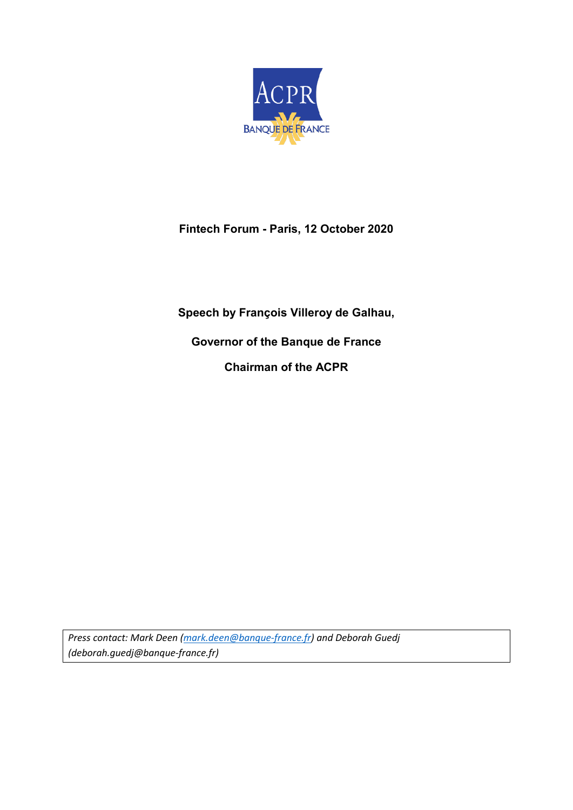

## **Fintech Forum - Paris, 12 October 2020**

**Speech by François Villeroy de Galhau,**

**Governor of the Banque de France Chairman of the ACPR**

*Press contact: Mark Deen [\(mark.deen@banque-france.fr\)](mailto:mark.deen@banque-france.fr) and Deborah Guedj (deborah.guedj@banque-france.fr)*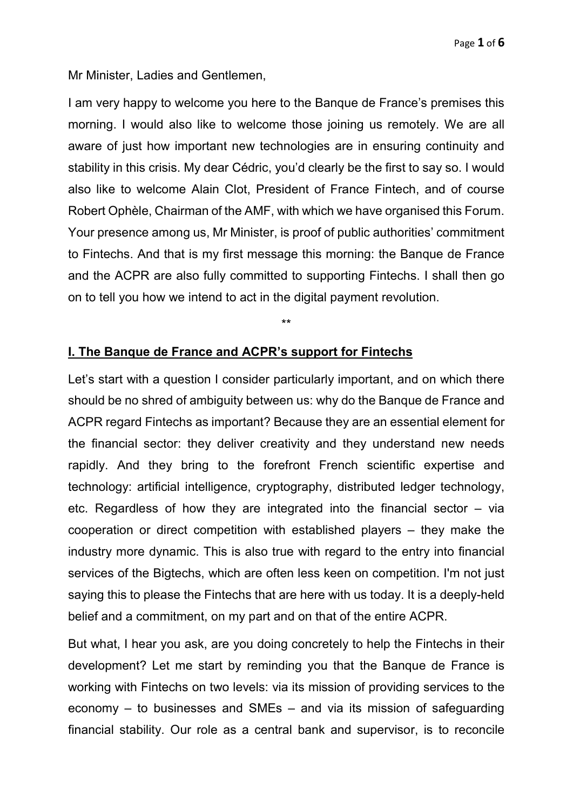Mr Minister, Ladies and Gentlemen,

I am very happy to welcome you here to the Banque de France's premises this morning. I would also like to welcome those joining us remotely. We are all aware of just how important new technologies are in ensuring continuity and stability in this crisis. My dear Cédric, you'd clearly be the first to say so. I would also like to welcome Alain Clot, President of France Fintech, and of course Robert Ophèle, Chairman of the AMF, with which we have organised this Forum. Your presence among us, Mr Minister, is proof of public authorities' commitment to Fintechs. And that is my first message this morning: the Banque de France and the ACPR are also fully committed to supporting Fintechs. I shall then go on to tell you how we intend to act in the digital payment revolution.

\*\*

## **I. The Banque de France and ACPR's support for Fintechs**

Let's start with a question I consider particularly important, and on which there should be no shred of ambiguity between us: why do the Banque de France and ACPR regard Fintechs as important? Because they are an essential element for the financial sector: they deliver creativity and they understand new needs rapidly. And they bring to the forefront French scientific expertise and technology: artificial intelligence, cryptography, distributed ledger technology, etc. Regardless of how they are integrated into the financial sector – via cooperation or direct competition with established players – they make the industry more dynamic. This is also true with regard to the entry into financial services of the Bigtechs, which are often less keen on competition. I'm not just saying this to please the Fintechs that are here with us today. It is a deeply-held belief and a commitment, on my part and on that of the entire ACPR.

But what, I hear you ask, are you doing concretely to help the Fintechs in their development? Let me start by reminding you that the Banque de France is working with Fintechs on two levels: via its mission of providing services to the economy – to businesses and SMEs – and via its mission of safeguarding financial stability. Our role as a central bank and supervisor, is to reconcile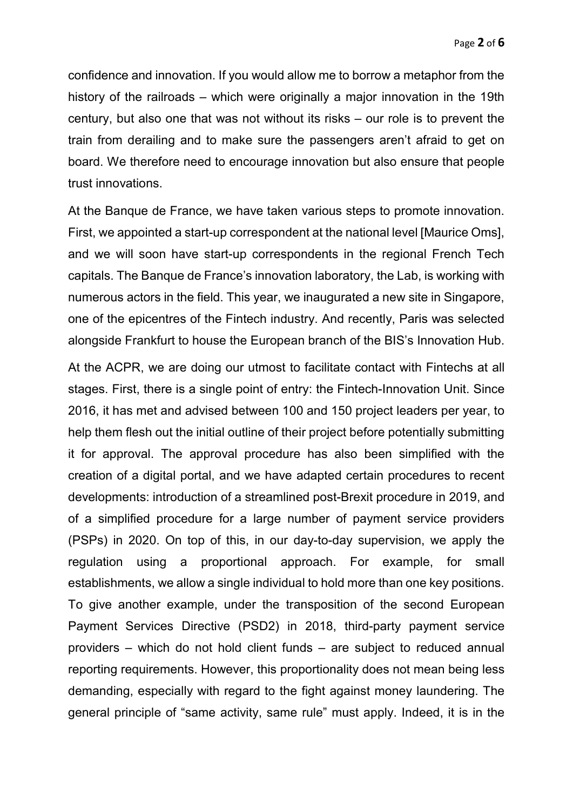confidence and innovation. If you would allow me to borrow a metaphor from the history of the railroads – which were originally a major innovation in the 19th century, but also one that was not without its risks – our role is to prevent the train from derailing and to make sure the passengers aren't afraid to get on board. We therefore need to encourage innovation but also ensure that people trust innovations.

At the Banque de France, we have taken various steps to promote innovation. First, we appointed a start-up correspondent at the national level [Maurice Oms], and we will soon have start-up correspondents in the regional French Tech capitals. The Banque de France's innovation laboratory, the Lab, is working with numerous actors in the field. This year, we inaugurated a new site in Singapore, one of the epicentres of the Fintech industry. And recently, Paris was selected alongside Frankfurt to house the European branch of the BIS's Innovation Hub.

At the ACPR, we are doing our utmost to facilitate contact with Fintechs at all stages. First, there is a single point of entry: the Fintech-Innovation Unit. Since 2016, it has met and advised between 100 and 150 project leaders per year, to help them flesh out the initial outline of their project before potentially submitting it for approval. The approval procedure has also been simplified with the creation of a digital portal, and we have adapted certain procedures to recent developments: introduction of a streamlined post-Brexit procedure in 2019, and of a simplified procedure for a large number of payment service providers (PSPs) in 2020. On top of this, in our day-to-day supervision, we apply the regulation using a proportional approach. For example, for small establishments, we allow a single individual to hold more than one key positions. To give another example, under the transposition of the second European Payment Services Directive (PSD2) in 2018, third-party payment service providers – which do not hold client funds – are subject to reduced annual reporting requirements. However, this proportionality does not mean being less demanding, especially with regard to the fight against money laundering. The general principle of "same activity, same rule" must apply. Indeed, it is in the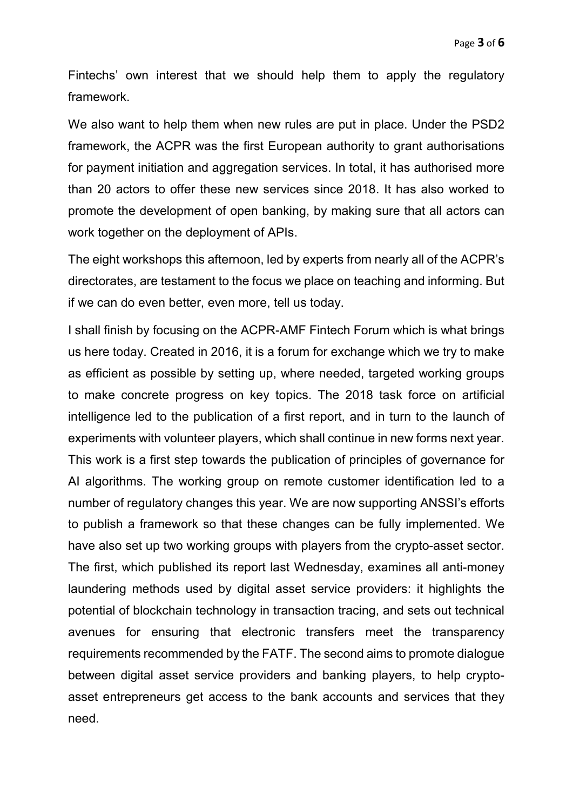Fintechs' own interest that we should help them to apply the regulatory framework.

We also want to help them when new rules are put in place. Under the PSD2 framework, the ACPR was the first European authority to grant authorisations for payment initiation and aggregation services. In total, it has authorised more than 20 actors to offer these new services since 2018. It has also worked to promote the development of open banking, by making sure that all actors can work together on the deployment of APIs.

The eight workshops this afternoon, led by experts from nearly all of the ACPR's directorates, are testament to the focus we place on teaching and informing. But if we can do even better, even more, tell us today.

I shall finish by focusing on the ACPR-AMF Fintech Forum which is what brings us here today. Created in 2016, it is a forum for exchange which we try to make as efficient as possible by setting up, where needed, targeted working groups to make concrete progress on key topics. The 2018 task force on artificial intelligence led to the publication of a first report, and in turn to the launch of experiments with volunteer players, which shall continue in new forms next year. This work is a first step towards the publication of principles of governance for AI algorithms. The working group on remote customer identification led to a number of regulatory changes this year. We are now supporting ANSSI's efforts to publish a framework so that these changes can be fully implemented. We have also set up two working groups with players from the crypto-asset sector. The first, which published its report last Wednesday, examines all anti-money laundering methods used by digital asset service providers: it highlights the potential of blockchain technology in transaction tracing, and sets out technical avenues for ensuring that electronic transfers meet the transparency requirements recommended by the FATF. The second aims to promote dialogue between digital asset service providers and banking players, to help cryptoasset entrepreneurs get access to the bank accounts and services that they need.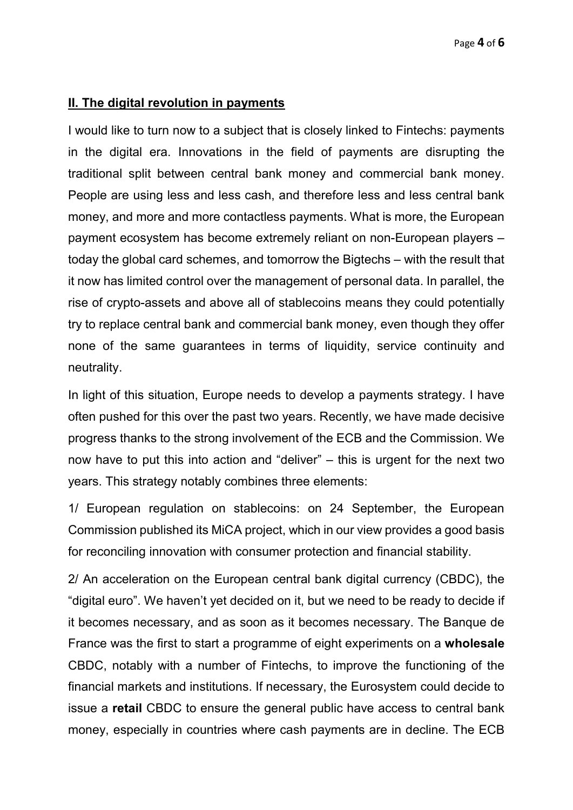## **II. The digital revolution in payments**

I would like to turn now to a subject that is closely linked to Fintechs: payments in the digital era. Innovations in the field of payments are disrupting the traditional split between central bank money and commercial bank money. People are using less and less cash, and therefore less and less central bank money, and more and more contactless payments. What is more, the European payment ecosystem has become extremely reliant on non-European players – today the global card schemes, and tomorrow the Bigtechs – with the result that it now has limited control over the management of personal data. In parallel, the rise of crypto-assets and above all of stablecoins means they could potentially try to replace central bank and commercial bank money, even though they offer none of the same guarantees in terms of liquidity, service continuity and neutrality.

In light of this situation, Europe needs to develop a payments strategy. I have often pushed for this over the past two years. Recently, we have made decisive progress thanks to the strong involvement of the ECB and the Commission. We now have to put this into action and "deliver" – this is urgent for the next two years. This strategy notably combines three elements:

1/ European regulation on stablecoins: on 24 September, the European Commission published its MiCA project, which in our view provides a good basis for reconciling innovation with consumer protection and financial stability.

2/ An acceleration on the European central bank digital currency (CBDC), the "digital euro". We haven't yet decided on it, but we need to be ready to decide if it becomes necessary, and as soon as it becomes necessary. The Banque de France was the first to start a programme of eight experiments on a **wholesale** CBDC, notably with a number of Fintechs, to improve the functioning of the financial markets and institutions. If necessary, the Eurosystem could decide to issue a **retail** CBDC to ensure the general public have access to central bank money, especially in countries where cash payments are in decline. The ECB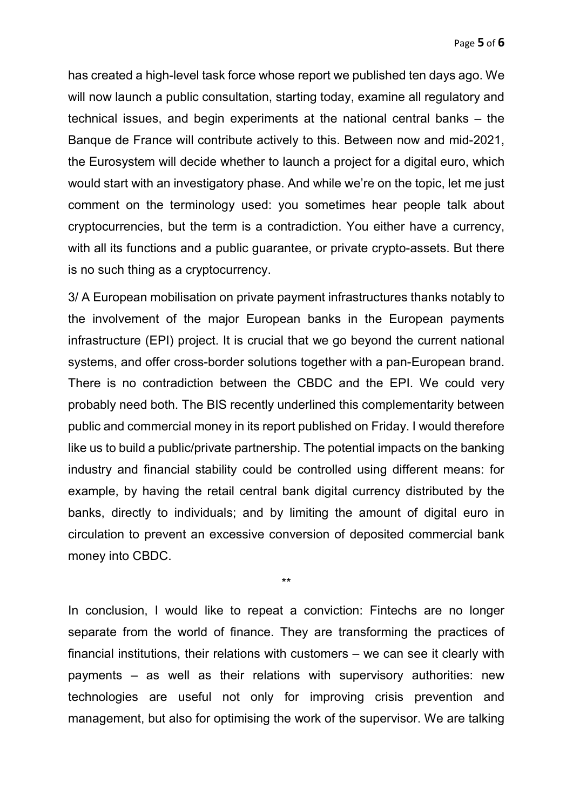has created a high-level task force whose report we published ten days ago. We will now launch a public consultation, starting today, examine all regulatory and technical issues, and begin experiments at the national central banks – the Banque de France will contribute actively to this. Between now and mid-2021, the Eurosystem will decide whether to launch a project for a digital euro, which would start with an investigatory phase. And while we're on the topic, let me just comment on the terminology used: you sometimes hear people talk about cryptocurrencies, but the term is a contradiction. You either have a currency, with all its functions and a public quarantee, or private crypto-assets. But there is no such thing as a cryptocurrency.

3/ A European mobilisation on private payment infrastructures thanks notably to the involvement of the major European banks in the European payments infrastructure (EPI) project. It is crucial that we go beyond the current national systems, and offer cross-border solutions together with a pan-European brand. There is no contradiction between the CBDC and the EPI. We could very probably need both. The BIS recently underlined this complementarity between public and commercial money in its report published on Friday. I would therefore like us to build a public/private partnership. The potential impacts on the banking industry and financial stability could be controlled using different means: for example, by having the retail central bank digital currency distributed by the banks, directly to individuals; and by limiting the amount of digital euro in circulation to prevent an excessive conversion of deposited commercial bank money into CBDC.

\*\*

In conclusion, I would like to repeat a conviction: Fintechs are no longer separate from the world of finance. They are transforming the practices of financial institutions, their relations with customers – we can see it clearly with payments – as well as their relations with supervisory authorities: new technologies are useful not only for improving crisis prevention and management, but also for optimising the work of the supervisor. We are talking